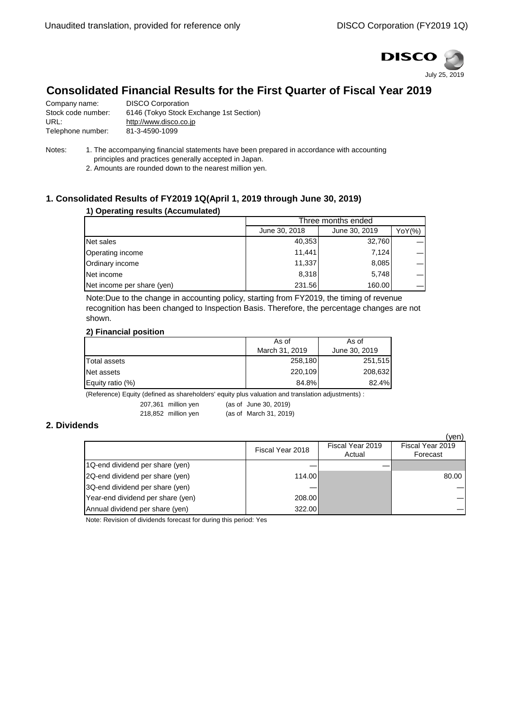

# **Consolidated Financial Results for the First Quarter of Fiscal Year 2019**

| Company name:      | <b>DISCO Corporation</b>                |
|--------------------|-----------------------------------------|
| Stock code number: | 6146 (Tokyo Stock Exchange 1st Section) |
| URL:               | http://www.disco.co.jp                  |
| Telephone number:  | 81-3-4590-1099                          |

Notes: 1. The accompanying financial statements have been prepared in accordance with accounting principles and practices generally accepted in Japan.

2. Amounts are rounded down to the nearest million yen.

## **1. Consolidated Results of FY2019 1Q(April 1, 2019 through June 30, 2019)**

## **1) Operating results (Accumulated)**

|                            | Three months ended |               |        |
|----------------------------|--------------------|---------------|--------|
|                            | June 30, 2018      | June 30, 2019 | YoY(%) |
| Net sales                  | 40,353             | 32,760        |        |
| Operating income           | 11.441             | 7.124         |        |
| Ordinary income            | 11,337             | 8,085         |        |
| Net income                 | 8.318              | 5,748         |        |
| Net income per share (yen) | 231.56             | 160.00        |        |

Note:Due to the change in accounting policy, starting from FY2019, the timing of revenue recognition has been changed to Inspection Basis. Therefore, the percentage changes are not shown.

### **2) Financial position**

|                     | As of          | As of         |
|---------------------|----------------|---------------|
|                     | March 31, 2019 | June 30, 2019 |
| Total assets        | 258,180        | 251,515       |
| Net assets          | 220,109        | 208,632       |
| Equity ratio $(\%)$ | 84.8%          | 82.4%         |

(Reference) Equity (defined as shareholders' equity plus valuation and translation adjustments) :

207,361 million yen (as of June 30, 2019)

218,852 million yen (as of March 31, 2019)

## **2. Dividends**

|                                   |                  |                  | (yen)            |
|-----------------------------------|------------------|------------------|------------------|
|                                   | Fiscal Year 2018 | Fiscal Year 2019 | Fiscal Year 2019 |
|                                   |                  | Actual           | Forecast         |
| 1Q-end dividend per share (yen)   |                  |                  |                  |
| 2Q-end dividend per share (yen)   | 114.00           |                  | 80.00            |
| 3Q-end dividend per share (yen)   |                  |                  |                  |
| Year-end dividend per share (yen) | 208.00           |                  |                  |
| Annual dividend per share (yen)   | 322.00           |                  |                  |

Note: Revision of dividends forecast for during this period: Yes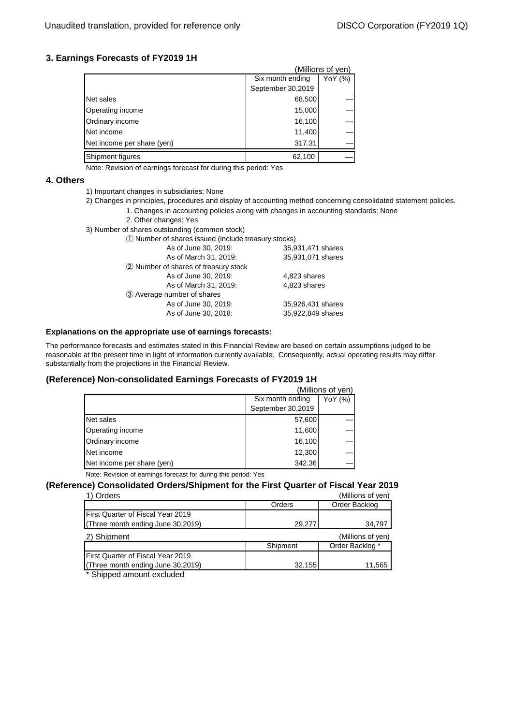## **3. Earnings Forecasts of FY2019 1H**

|                            | (Millions of ven)           |  |
|----------------------------|-----------------------------|--|
|                            | Six month ending<br>YoY (%) |  |
|                            | September 30,2019           |  |
| Net sales                  | 68,500                      |  |
| Operating income           | 15,000                      |  |
| Ordinary income            | 16,100                      |  |
| Net income                 | 11,400                      |  |
| Net income per share (yen) | 317.31                      |  |
| Shipment figures           | 62,100                      |  |

Note: Revision of earnings forecast for during this period: Yes

#### **4. Others**

- 1) Important changes in subsidiaries: None
- 2) Changes in principles, procedures and display of accounting method concerning consolidated statement policies.
	- 1. Changes in accounting policies along with changes in accounting standards: None
	- 2. Other changes: Yes
- 3) Number of shares outstanding (common stock)

| 1) Number of shares issued (include treasury stocks) |                   |
|------------------------------------------------------|-------------------|
| As of June 30, 2019:                                 | 35,931,471 shares |
| As of March 31, 2019:                                | 35,931,071 shares |
| 2 Number of shares of treasury stock                 |                   |
| As of June 30, 2019:                                 | 4,823 shares      |
| As of March 31, 2019:                                | 4,823 shares      |
| 3 Average number of shares                           |                   |
| As of June 30, 2019:                                 | 35,926,431 shares |
| As of June 30, 2018:                                 | 35,922,849 shares |
|                                                      |                   |

#### **Explanations on the appropriate use of earnings forecasts:**

The performance forecasts and estimates stated in this Financial Review are based on certain assumptions judged to be reasonable at the present time in light of information currently available. Consequently, actual operating results may differ substantially from the projections in the Financial Review.

### **(Reference) Non-consolidated Earnings Forecasts of FY2019 1H**

| Six month ending  | YoY (%)           |
|-------------------|-------------------|
| September 30,2019 |                   |
| 57,600            |                   |
| 11,600            |                   |
| 16,100            |                   |
| 12,300            |                   |
| 342.36            |                   |
|                   | (Millions of yen) |

Note: Revision of earnings forecast for during this period: Yes

## **(Reference) Consolidated Orders/Shipment for the First Quarter of Fiscal Year 2019**

|          | (Millions of yen) |
|----------|-------------------|
| Orders   | Order Backlog     |
|          |                   |
| 29.277   | 34,797            |
|          | (Millions of yen) |
| Shipment | Order Backlog *   |
|          |                   |
| 32,155   | 11,565            |
|          |                   |

\* Shipped amount excluded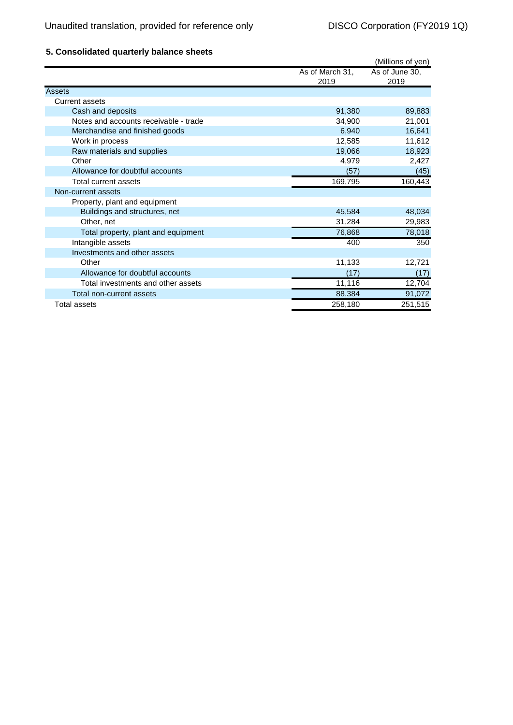# **5. Consolidated quarterly balance sheets**

|                                       |                 | (Millions of yen) |
|---------------------------------------|-----------------|-------------------|
|                                       | As of March 31, | As of June 30,    |
|                                       | 2019            | 2019              |
| Assets                                |                 |                   |
| <b>Current assets</b>                 |                 |                   |
| Cash and deposits                     | 91,380          | 89,883            |
| Notes and accounts receivable - trade | 34,900          | 21,001            |
| Merchandise and finished goods        | 6,940           | 16,641            |
| Work in process                       | 12,585          | 11,612            |
| Raw materials and supplies            | 19,066          | 18,923            |
| Other                                 | 4,979           | 2,427             |
| Allowance for doubtful accounts       | (57)            | (45)              |
| Total current assets                  | 169,795         | 160,443           |
| Non-current assets                    |                 |                   |
| Property, plant and equipment         |                 |                   |
| Buildings and structures, net         | 45,584          | 48,034            |
| Other, net                            | 31,284          | 29,983            |
| Total property, plant and equipment   | 76,868          | 78,018            |
| Intangible assets                     | 400             | 350               |
| Investments and other assets          |                 |                   |
| Other                                 | 11,133          | 12,721            |
| Allowance for doubtful accounts       | (17)            | (17)              |
| Total investments and other assets    | 11,116          | 12,704            |
| Total non-current assets              | 88,384          | 91,072            |
| Total assets                          | 258,180         | 251,515           |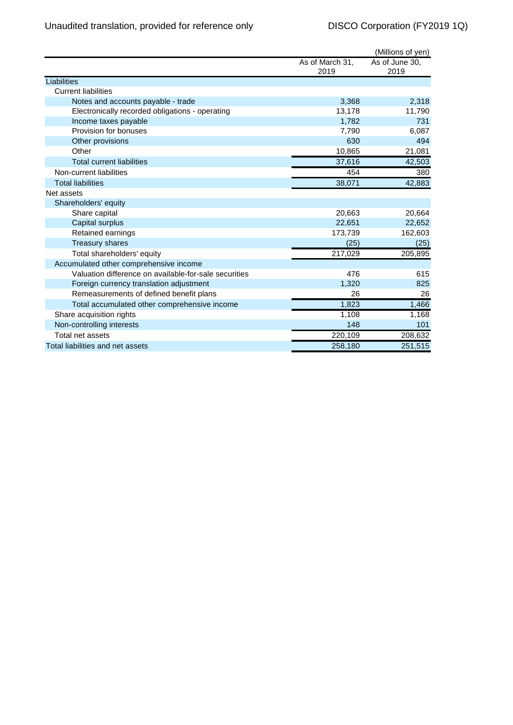|                                                       |                 | (Millions of yen) |
|-------------------------------------------------------|-----------------|-------------------|
|                                                       | As of March 31, | As of June 30,    |
|                                                       | 2019            | 2019              |
| Liabilities                                           |                 |                   |
| <b>Current liabilities</b>                            |                 |                   |
| Notes and accounts payable - trade                    | 3,368           | 2,318             |
| Electronically recorded obligations - operating       | 13,178          | 11,790            |
| Income taxes payable                                  | 1,782           | 731               |
| Provision for bonuses                                 | 7,790           | 6,087             |
| Other provisions                                      | 630             | 494               |
| Other                                                 | 10,865          | 21,081            |
| <b>Total current liabilities</b>                      | 37,616          | 42,503            |
| Non-current liabilities                               | 454             | 380               |
| <b>Total liabilities</b>                              | 38,071          | 42,883            |
| Net assets                                            |                 |                   |
| Shareholders' equity                                  |                 |                   |
| Share capital                                         | 20,663          | 20,664            |
| Capital surplus                                       | 22,651          | 22,652            |
| Retained earnings                                     | 173,739         | 162,603           |
| <b>Treasury shares</b>                                | (25)            | (25)              |
| Total shareholders' equity                            | 217,029         | 205,895           |
| Accumulated other comprehensive income                |                 |                   |
| Valuation difference on available-for-sale securities | 476             | 615               |
| Foreign currency translation adjustment               | 1,320           | 825               |
| Remeasurements of defined benefit plans               | 26              | 26                |
| Total accumulated other comprehensive income          | 1,823           | 1,466             |
| Share acquisition rights                              | 1,108           | 1,168             |
| Non-controlling interests                             | 148             | 101               |
| Total net assets                                      | 220,109         | 208,632           |
| Total liabilities and net assets                      | 258,180         | 251,515           |